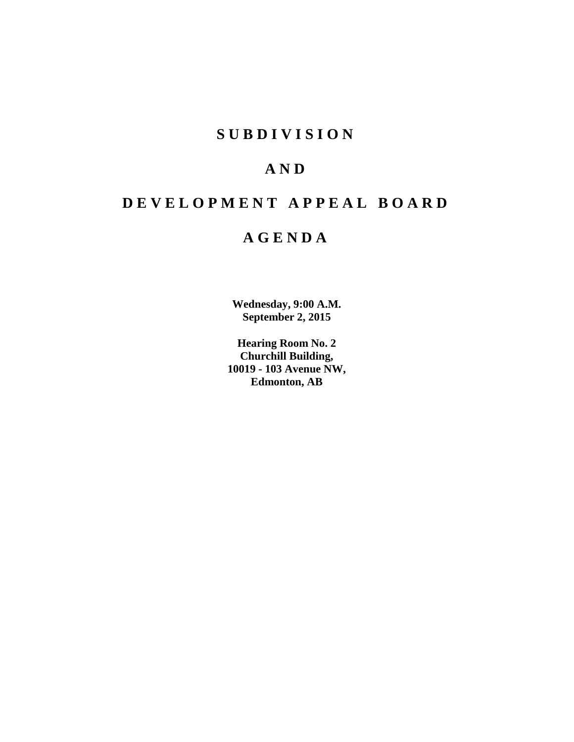# **S U B D I V I S I O N**

# **A N D**

# **D E V E L O P M E N T A P P E A L B O A R D**

# **A G E N D A**

**Wednesday, 9:00 A.M. September 2, 2015**

**Hearing Room No. 2 Churchill Building, 10019 - 103 Avenue NW, Edmonton, AB**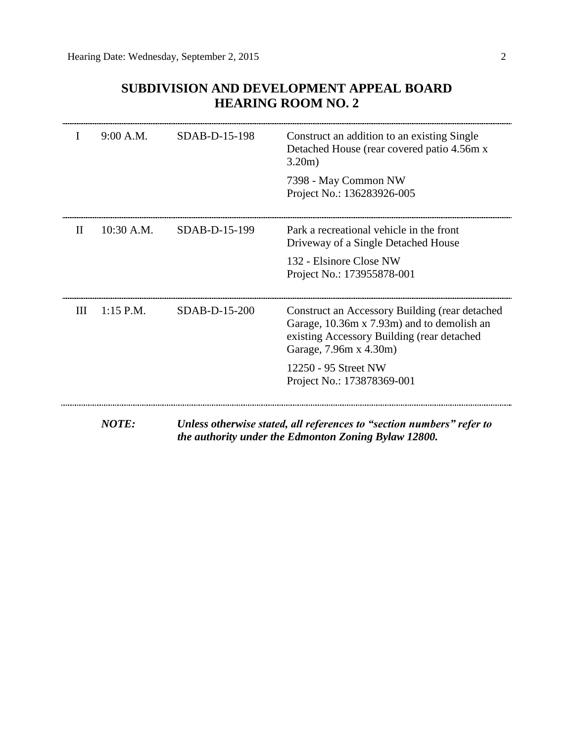| $\mathbf{I}$ | 9:00 A.M.    | SDAB-D-15-198 | Construct an addition to an existing Single<br>Detached House (rear covered patio 4.56m x<br>3.20m)                                                                  |
|--------------|--------------|---------------|----------------------------------------------------------------------------------------------------------------------------------------------------------------------|
|              |              |               | 7398 - May Common NW<br>Project No.: 136283926-005                                                                                                                   |
| П            | $10:30$ A.M. | SDAB-D-15-199 | Park a recreational vehicle in the front<br>Driveway of a Single Detached House                                                                                      |
|              |              |               | 132 - Elsinore Close NW<br>Project No.: 173955878-001                                                                                                                |
| Ш            | $1:15$ P.M.  | SDAB-D-15-200 | Construct an Accessory Building (rear detached<br>Garage, 10.36m x 7.93m) and to demolish an<br>existing Accessory Building (rear detached<br>Garage, 7.96m x 4.30m) |
|              |              |               | 12250 - 95 Street NW<br>Project No.: 173878369-001                                                                                                                   |

### **SUBDIVISION AND DEVELOPMENT APPEAL BOARD HEARING ROOM NO. 2**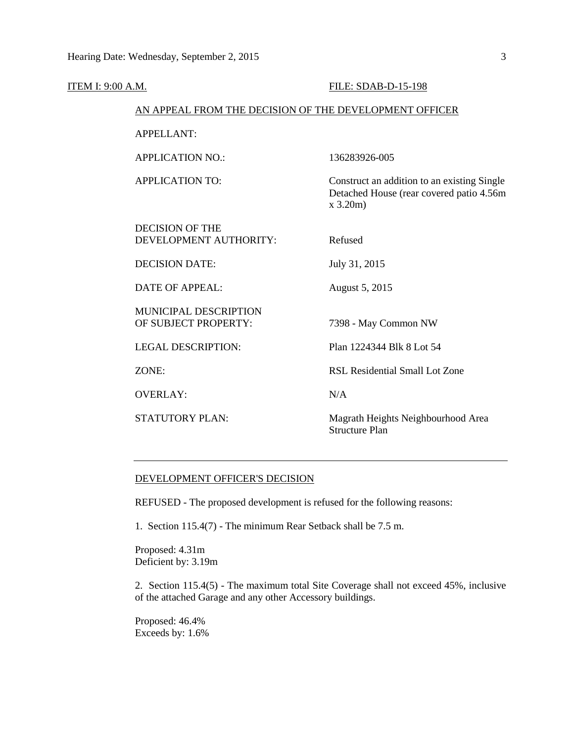| ITEM I: 9:00 A.M. |                                                        | FILE: SDAB-D-15-198                                                                                   |
|-------------------|--------------------------------------------------------|-------------------------------------------------------------------------------------------------------|
|                   | AN APPEAL FROM THE DECISION OF THE DEVELOPMENT OFFICER |                                                                                                       |
|                   | <b>APPELLANT:</b>                                      |                                                                                                       |
|                   | <b>APPLICATION NO.:</b>                                | 136283926-005                                                                                         |
|                   | <b>APPLICATION TO:</b>                                 | Construct an addition to an existing Single<br>Detached House (rear covered patio 4.56m<br>$x$ 3.20m) |
|                   | <b>DECISION OF THE</b><br>DEVELOPMENT AUTHORITY:       | Refused                                                                                               |
|                   | <b>DECISION DATE:</b>                                  | July 31, 2015                                                                                         |
|                   | <b>DATE OF APPEAL:</b>                                 | August 5, 2015                                                                                        |
|                   | MUNICIPAL DESCRIPTION<br>OF SUBJECT PROPERTY:          | 7398 - May Common NW                                                                                  |
|                   | <b>LEGAL DESCRIPTION:</b>                              | Plan 1224344 Blk 8 Lot 54                                                                             |
|                   | ZONE:                                                  | <b>RSL Residential Small Lot Zone</b>                                                                 |
|                   | <b>OVERLAY:</b>                                        | N/A                                                                                                   |
|                   | <b>STATUTORY PLAN:</b>                                 | Magrath Heights Neighbourhood Area<br><b>Structure Plan</b>                                           |
|                   |                                                        |                                                                                                       |

#### DEVELOPMENT OFFICER'S DECISION

REFUSED - The proposed development is refused for the following reasons:

1. Section 115.4(7) - The minimum Rear Setback shall be 7.5 m.

Proposed: 4.31m Deficient by: 3.19m

2. Section 115.4(5) - The maximum total Site Coverage shall not exceed 45%, inclusive of the attached Garage and any other Accessory buildings.

Proposed: 46.4% Exceeds by: 1.6%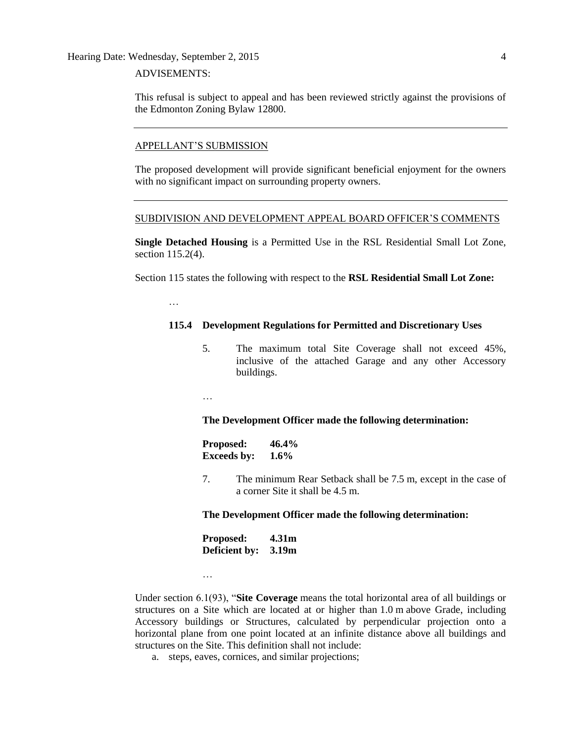Hearing Date: Wednesday, September 2, 2015 4

#### ADVISEMENTS:

…

This refusal is subject to appeal and has been reviewed strictly against the provisions of the Edmonton Zoning Bylaw 12800.

#### APPELLANT'S SUBMISSION

The proposed development will provide significant beneficial enjoyment for the owners with no significant impact on surrounding property owners.

#### SUBDIVISION AND DEVELOPMENT APPEAL BOARD OFFICER'S COMMENTS

**Single Detached Housing** is a Permitted Use in the RSL Residential Small Lot Zone, section 115.2(4).

Section 115 states the following with respect to the **RSL Residential Small Lot Zone:**

#### **115.4 Development Regulations for Permitted and Discretionary Uses**

5. The maximum total Site Coverage shall not exceed 45%, inclusive of the attached Garage and any other Accessory buildings.

…

…

#### **The Development Officer made the following determination:**

| <b>Proposed:</b>   | 46.4%   |  |
|--------------------|---------|--|
| <b>Exceeds by:</b> | $1.6\%$ |  |

7. The minimum Rear Setback shall be [7.5](javascript:void(0);) m, except in the case of a corner Site it shall be [4.5](javascript:void(0);) m.

#### **The Development Officer made the following determination:**

| <b>Proposed:</b> | 4.31m |  |
|------------------|-------|--|
| Deficient by:    | 3.19m |  |

Under section 6.1(93), "**Site Coverage** means the total horizontal area of all buildings or structures on a Site which are located at or higher than [1.0](javascript:void(0);) m above Grade, including Accessory buildings or Structures, calculated by perpendicular projection onto a horizontal plane from one point located at an infinite distance above all buildings and structures on the Site. This definition shall not include:

a. steps, eaves, cornices, and similar projections;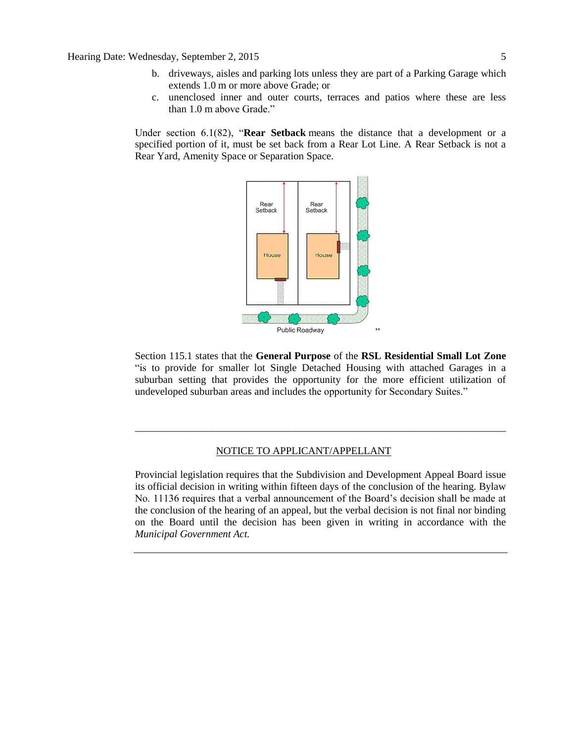- b. driveways, aisles and parking lots unless they are part of a Parking Garage which extends [1.0](javascript:void(0);) m or more above Grade; or
- c. unenclosed inner and outer courts, terraces and patios where these are less than [1.0](javascript:void(0);) m above Grade."

Under section 6.1(82), "**Rear Setback** means the distance that a development or a specified portion of it, must be set back from a Rear Lot Line. A Rear Setback is not a Rear Yard, Amenity Space or Separation Space.



Section 115.1 states that the **General Purpose** of the **RSL Residential Small Lot Zone**  "is to provide for smaller lot Single Detached Housing with attached Garages in a suburban setting that provides the opportunity for the more efficient utilization of undeveloped suburban areas and includes the opportunity for Secondary Suites."

\_\_\_\_\_\_\_\_\_\_\_\_\_\_\_\_\_\_\_\_\_\_\_\_\_\_\_\_\_\_\_\_\_\_\_\_\_\_\_\_\_\_\_\_\_\_\_\_\_\_\_\_\_\_\_\_\_\_\_\_\_\_\_\_\_\_\_\_\_\_\_\_

#### NOTICE TO APPLICANT/APPELLANT

Provincial legislation requires that the Subdivision and Development Appeal Board issue its official decision in writing within fifteen days of the conclusion of the hearing. Bylaw No. 11136 requires that a verbal announcement of the Board's decision shall be made at the conclusion of the hearing of an appeal, but the verbal decision is not final nor binding on the Board until the decision has been given in writing in accordance with the *Municipal Government Act.*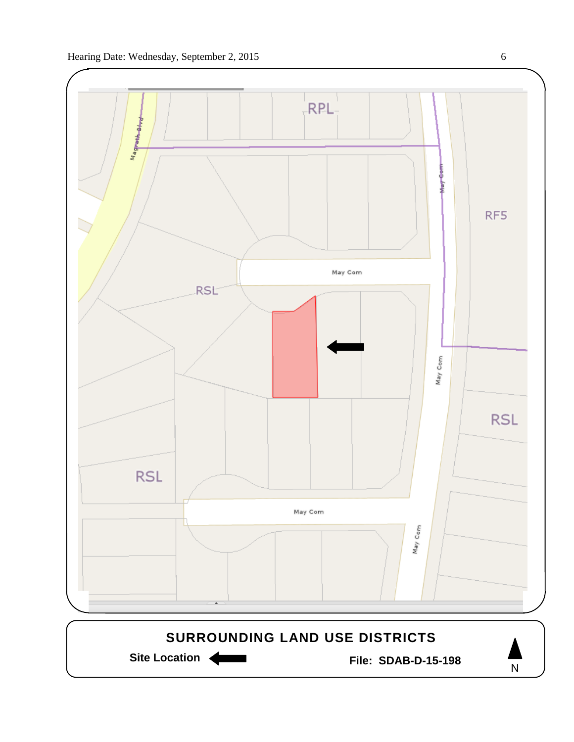

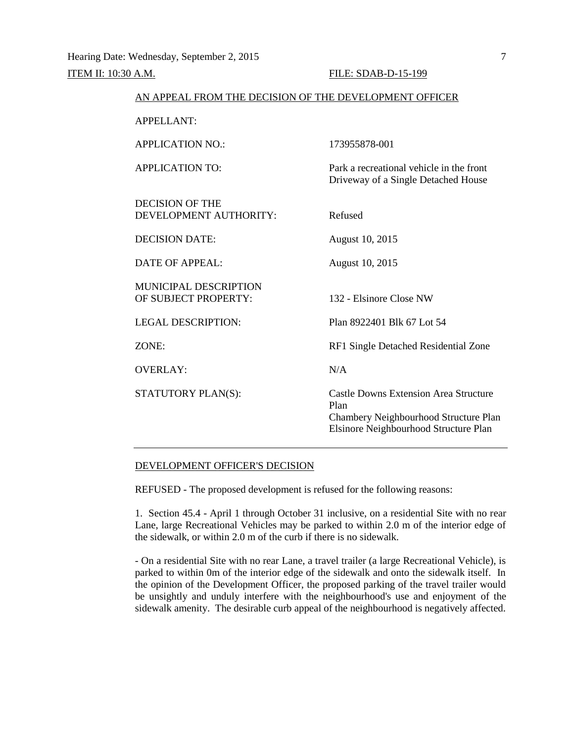| AN ALLEAE FROM THE DECISION OF THE DEVELOI MENT OFFICER |                                                                                                                                        |
|---------------------------------------------------------|----------------------------------------------------------------------------------------------------------------------------------------|
| <b>APPELLANT:</b>                                       |                                                                                                                                        |
| <b>APPLICATION NO.:</b>                                 | 173955878-001                                                                                                                          |
| <b>APPLICATION TO:</b>                                  | Park a recreational vehicle in the front<br>Driveway of a Single Detached House                                                        |
| <b>DECISION OF THE</b><br>DEVELOPMENT AUTHORITY:        | Refused                                                                                                                                |
| <b>DECISION DATE:</b>                                   | August 10, 2015                                                                                                                        |
| DATE OF APPEAL:                                         | August 10, 2015                                                                                                                        |
| <b>MUNICIPAL DESCRIPTION</b><br>OF SUBJECT PROPERTY:    | 132 - Elsinore Close NW                                                                                                                |
| <b>LEGAL DESCRIPTION:</b>                               | Plan 8922401 Blk 67 Lot 54                                                                                                             |
| ZONE:                                                   | RF1 Single Detached Residential Zone                                                                                                   |
| <b>OVERLAY:</b>                                         | N/A                                                                                                                                    |
| STATUTORY PLAN(S):                                      | <b>Castle Downs Extension Area Structure</b><br>Plan<br>Chambery Neighbourhood Structure Plan<br>Elsinore Neighbourhood Structure Plan |

AN APPEAL FROM THE DECISION OF THE DEVELOPMENT OFFICER

#### DEVELOPMENT OFFICER'S DECISION

REFUSED - The proposed development is refused for the following reasons:

1. Section 45.4 - April 1 through October 31 inclusive, on a residential Site with no rear Lane, large Recreational Vehicles may be parked to within 2.0 m of the interior edge of the sidewalk, or within 2.0 m of the curb if there is no sidewalk.

- On a residential Site with no rear Lane, a travel trailer (a large Recreational Vehicle), is parked to within 0m of the interior edge of the sidewalk and onto the sidewalk itself. In the opinion of the Development Officer, the proposed parking of the travel trailer would be unsightly and unduly interfere with the neighbourhood's use and enjoyment of the sidewalk amenity. The desirable curb appeal of the neighbourhood is negatively affected.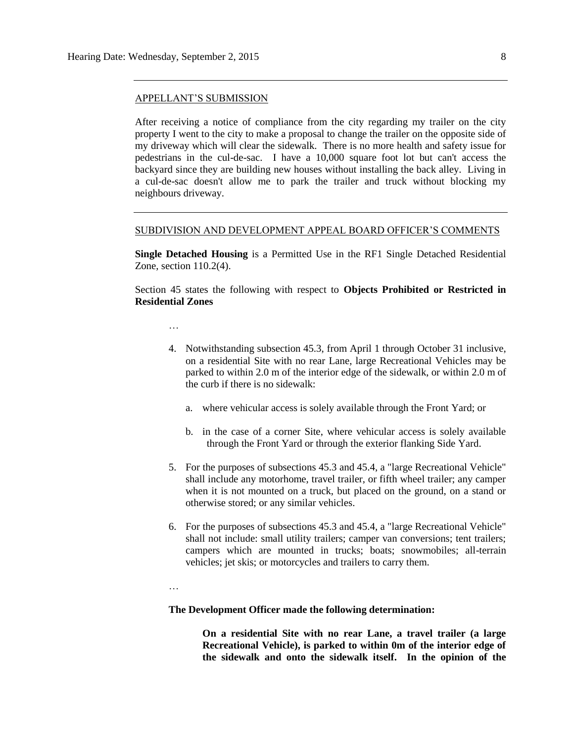#### APPELLANT'S SUBMISSION

After receiving a notice of compliance from the city regarding my trailer on the city property I went to the city to make a proposal to change the trailer on the opposite side of my driveway which will clear the sidewalk. There is no more health and safety issue for pedestrians in the cul-de-sac. I have a 10,000 square foot lot but can't access the backyard since they are building new houses without installing the back alley. Living in a cul-de-sac doesn't allow me to park the trailer and truck without blocking my neighbours driveway.

#### SUBDIVISION AND DEVELOPMENT APPEAL BOARD OFFICER'S COMMENTS

**Single Detached Housing** is a Permitted Use in the RF1 Single Detached Residential Zone, section 110.2(4).

Section 45 states the following with respect to **Objects Prohibited or Restricted in Residential Zones**

- …
- 4. Notwithstanding subsection 45.3, from April 1 through October 31 inclusive, on a residential Site with no rear Lane, large Recreational Vehicles may be parked to within [2.0](javascript:void(0);) m of the interior edge of the sidewalk, or within [2.0](javascript:void(0);) m of the curb if there is no sidewalk:
	- a. where vehicular access is solely available through the Front Yard; or
	- b. in the case of a corner Site, where vehicular access is solely available through the Front Yard or through the exterior flanking Side Yard.
- 5. For the purposes of subsections 45.3 and 45.4, a "large Recreational Vehicle" shall include any motorhome, travel trailer, or fifth wheel trailer; any camper when it is not mounted on a truck, but placed on the ground, on a stand or otherwise stored; or any similar vehicles.
- 6. For the purposes of subsections 45.3 and 45.4, a "large Recreational Vehicle" shall not include: small utility trailers; camper van conversions; tent trailers; campers which are mounted in trucks; boats; snowmobiles; all-terrain vehicles; jet skis; or motorcycles and trailers to carry them.

…

#### **The Development Officer made the following determination:**

**On a residential Site with no rear Lane, a travel trailer (a large Recreational Vehicle), is parked to within 0m of the interior edge of the sidewalk and onto the sidewalk itself. In the opinion of the**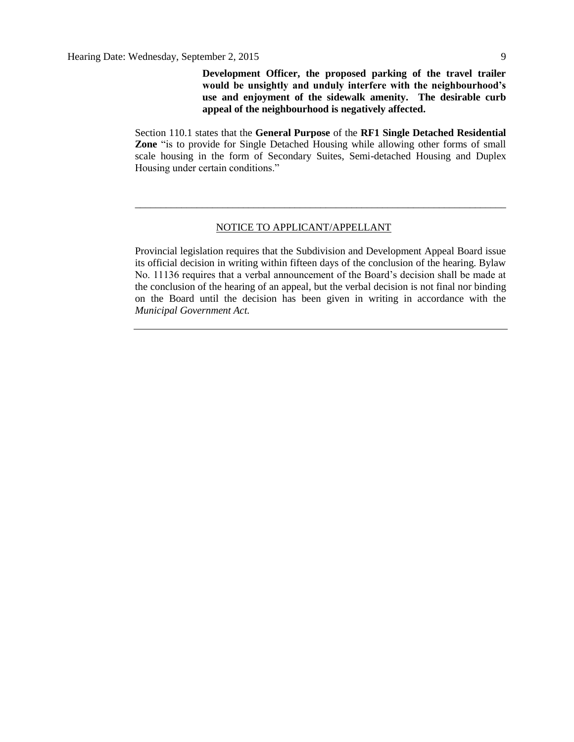**Development Officer, the proposed parking of the travel trailer would be unsightly and unduly interfere with the neighbourhood's use and enjoyment of the sidewalk amenity. The desirable curb appeal of the neighbourhood is negatively affected.**

Section 110.1 states that the **General Purpose** of the **RF1 Single Detached Residential Zone** "is to provide for Single Detached Housing while allowing other forms of small scale housing in the form of Secondary Suites, Semi-detached Housing and Duplex Housing under certain conditions."

\_\_\_\_\_\_\_\_\_\_\_\_\_\_\_\_\_\_\_\_\_\_\_\_\_\_\_\_\_\_\_\_\_\_\_\_\_\_\_\_\_\_\_\_\_\_\_\_\_\_\_\_\_\_\_\_\_\_\_\_\_\_\_\_\_\_\_\_\_\_\_\_

#### NOTICE TO APPLICANT/APPELLANT

Provincial legislation requires that the Subdivision and Development Appeal Board issue its official decision in writing within fifteen days of the conclusion of the hearing. Bylaw No. 11136 requires that a verbal announcement of the Board's decision shall be made at the conclusion of the hearing of an appeal, but the verbal decision is not final nor binding on the Board until the decision has been given in writing in accordance with the *Municipal Government Act.*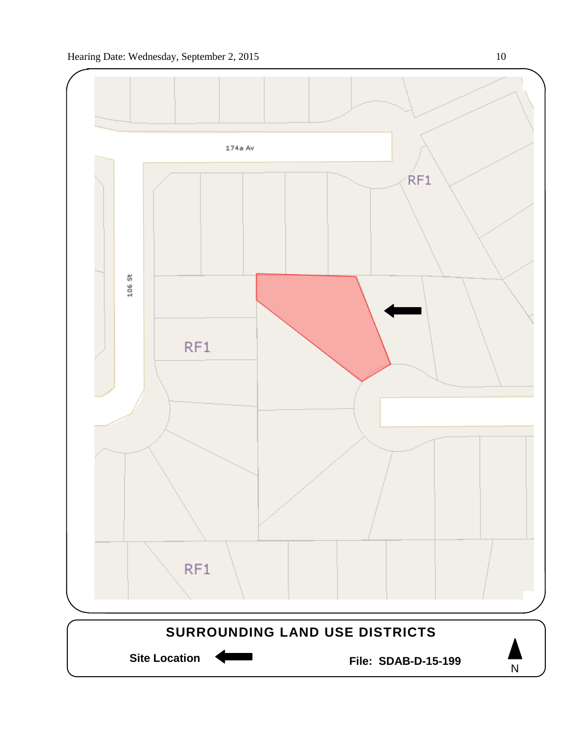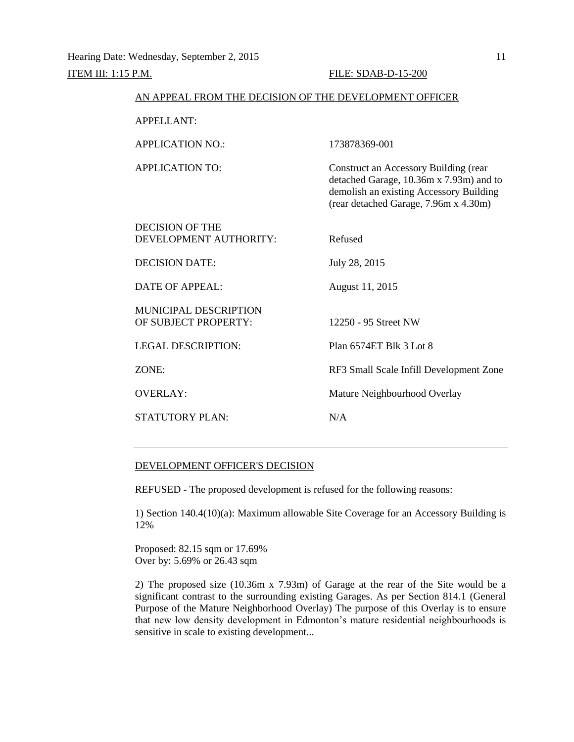| AN APPEAL FROM THE DECISION OF THE DEVELOPMENT OFFICER |                                                                                                                                                                             |
|--------------------------------------------------------|-----------------------------------------------------------------------------------------------------------------------------------------------------------------------------|
| <b>APPELLANT:</b>                                      |                                                                                                                                                                             |
| <b>APPLICATION NO.:</b>                                | 173878369-001                                                                                                                                                               |
| <b>APPLICATION TO:</b>                                 | <b>Construct an Accessory Building (rear</b><br>detached Garage, 10.36m x 7.93m) and to<br>demolish an existing Accessory Building<br>(rear detached Garage, 7.96m x 4.30m) |
| <b>DECISION OF THE</b><br>DEVELOPMENT AUTHORITY:       | Refused                                                                                                                                                                     |
| <b>DECISION DATE:</b>                                  | July 28, 2015                                                                                                                                                               |
| <b>DATE OF APPEAL:</b>                                 | August 11, 2015                                                                                                                                                             |
| <b>MUNICIPAL DESCRIPTION</b><br>OF SUBJECT PROPERTY:   | 12250 - 95 Street NW                                                                                                                                                        |
| <b>LEGAL DESCRIPTION:</b>                              | Plan 6574ET Blk 3 Lot 8                                                                                                                                                     |
| ZONE:                                                  | RF3 Small Scale Infill Development Zone                                                                                                                                     |
| <b>OVERLAY:</b>                                        | Mature Neighbourhood Overlay                                                                                                                                                |
| <b>STATUTORY PLAN:</b>                                 | N/A                                                                                                                                                                         |

#### DEVELOPMENT OFFICER'S DECISION

REFUSED - The proposed development is refused for the following reasons:

1) Section 140.4(10)(a): Maximum allowable Site Coverage for an Accessory Building is 12%

Proposed: 82.15 sqm or 17.69% Over by: 5.69% or 26.43 sqm

2) The proposed size (10.36m x 7.93m) of Garage at the rear of the Site would be a significant contrast to the surrounding existing Garages. As per Section 814.1 (General Purpose of the Mature Neighborhood Overlay) The purpose of this Overlay is to ensure that new low density development in Edmonton's mature residential neighbourhoods is sensitive in scale to existing development...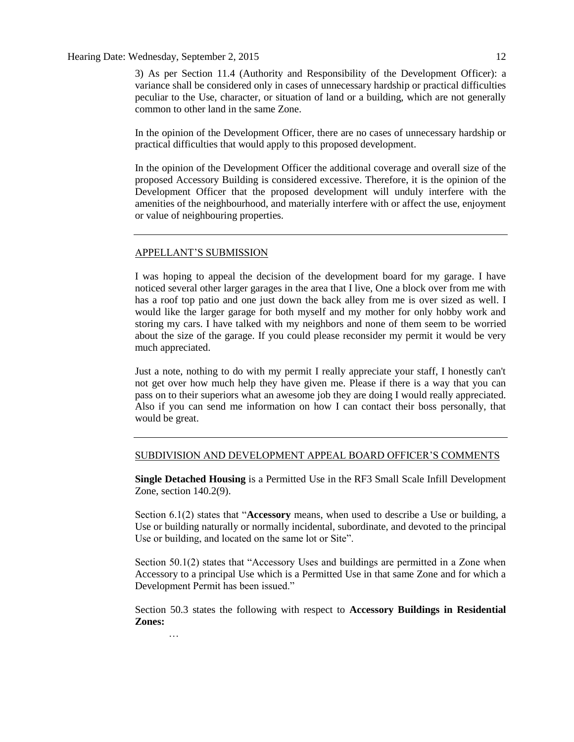#### Hearing Date: Wednesday, September 2, 2015 12

3) As per Section 11.4 (Authority and Responsibility of the Development Officer): a variance shall be considered only in cases of unnecessary hardship or practical difficulties peculiar to the Use, character, or situation of land or a building, which are not generally common to other land in the same Zone.

In the opinion of the Development Officer, there are no cases of unnecessary hardship or practical difficulties that would apply to this proposed development.

In the opinion of the Development Officer the additional coverage and overall size of the proposed Accessory Building is considered excessive. Therefore, it is the opinion of the Development Officer that the proposed development will unduly interfere with the amenities of the neighbourhood, and materially interfere with or affect the use, enjoyment or value of neighbouring properties.

#### APPELLANT'S SUBMISSION

…

I was hoping to appeal the decision of the development board for my garage. I have noticed several other larger garages in the area that I live, One a block over from me with has a roof top patio and one just down the back alley from me is over sized as well. I would like the larger garage for both myself and my mother for only hobby work and storing my cars. I have talked with my neighbors and none of them seem to be worried about the size of the garage. If you could please reconsider my permit it would be very much appreciated.

Just a note, nothing to do with my permit I really appreciate your staff, I honestly can't not get over how much help they have given me. Please if there is a way that you can pass on to their superiors what an awesome job they are doing I would really appreciated. Also if you can send me information on how I can contact their boss personally, that would be great.

#### SUBDIVISION AND DEVELOPMENT APPEAL BOARD OFFICER'S COMMENTS

**Single Detached Housing** is a Permitted Use in the RF3 Small Scale Infill Development Zone, section 140.2(9).

Section 6.1(2) states that "**Accessory** means, when used to describe a Use or building, a Use or building naturally or normally incidental, subordinate, and devoted to the principal Use or building, and located on the same lot or Site".

Section 50.1(2) states that "Accessory Uses and buildings are permitted in a Zone when Accessory to a principal Use which is a Permitted Use in that same Zone and for which a Development Permit has been issued."

Section 50.3 states the following with respect to **Accessory Buildings in Residential Zones:**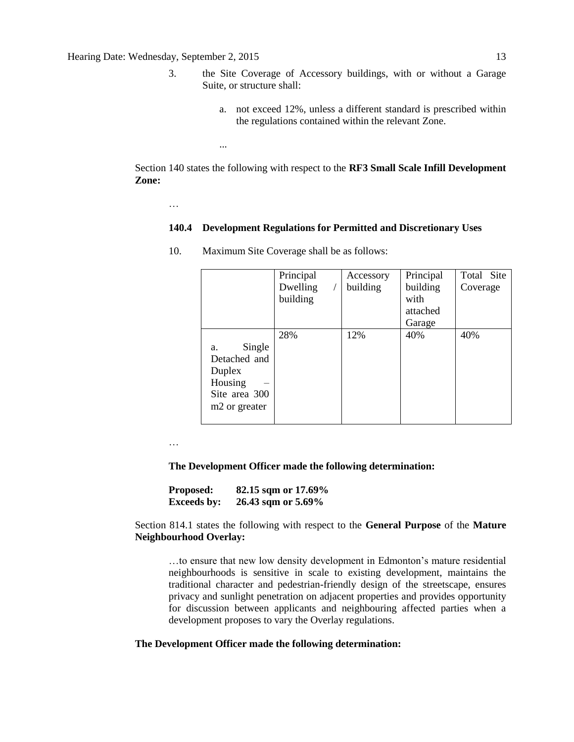- 3. the Site Coverage of Accessory buildings, with or without a Garage Suite, or structure shall:
	- a. not exceed 12%, unless a different standard is prescribed within the regulations contained within the relevant Zone.

Section 140 states the following with respect to the **RF3 Small Scale Infill Development Zone:**

…

...

#### **140.4 Development Regulations for Permitted and Discretionary Uses**

|                                                                                                 | Principal<br>Dwelling<br>building | Accessory<br>building | Principal<br>building<br>with | Total Site<br>Coverage |
|-------------------------------------------------------------------------------------------------|-----------------------------------|-----------------------|-------------------------------|------------------------|
|                                                                                                 |                                   |                       | attached<br>Garage            |                        |
| Single<br>a.<br>Detached and<br>Duplex<br>Housing<br>Site area 300<br>m <sub>2</sub> or greater | 28%                               | 12%                   | 40%                           | 40%                    |

10. Maximum Site Coverage shall be as follows:

…

**The Development Officer made the following determination:**

| <b>Proposed:</b>   | 82.15 sqm or 17.69% |
|--------------------|---------------------|
| <b>Exceeds by:</b> | 26.43 sqm or 5.69%  |

Section 814.1 states the following with respect to the **General Purpose** of the **Mature Neighbourhood Overlay:**

…to ensure that new low density development in Edmonton's mature residential neighbourhoods is sensitive in scale to existing development, maintains the traditional character and pedestrian-friendly design of the streetscape, ensures privacy and sunlight penetration on adjacent properties and provides opportunity for discussion between applicants and neighbouring affected parties when a development proposes to vary the Overlay regulations.

#### **The Development Officer made the following determination:**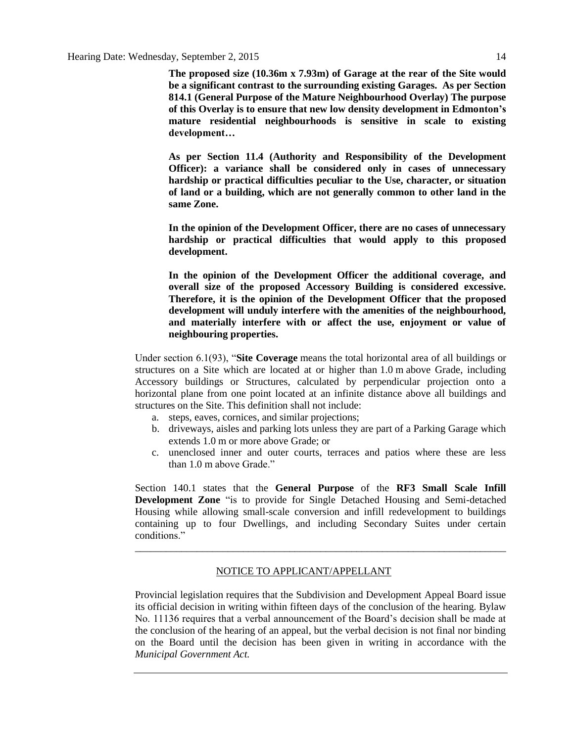**The proposed size (10.36m x 7.93m) of Garage at the rear of the Site would be a significant contrast to the surrounding existing Garages. As per Section 814.1 (General Purpose of the Mature Neighbourhood Overlay) The purpose of this Overlay is to ensure that new low density development in Edmonton's mature residential neighbourhoods is sensitive in scale to existing development…**

**As per Section 11.4 (Authority and Responsibility of the Development Officer): a variance shall be considered only in cases of unnecessary hardship or practical difficulties peculiar to the Use, character, or situation of land or a building, which are not generally common to other land in the same Zone.**

**In the opinion of the Development Officer, there are no cases of unnecessary hardship or practical difficulties that would apply to this proposed development.**

**In the opinion of the Development Officer the additional coverage, and overall size of the proposed Accessory Building is considered excessive. Therefore, it is the opinion of the Development Officer that the proposed development will unduly interfere with the amenities of the neighbourhood, and materially interfere with or affect the use, enjoyment or value of neighbouring properties.**

Under section 6.1(93), "**Site Coverage** means the total horizontal area of all buildings or structures on a Site which are located at or higher than [1.0](javascript:void(0);) m above Grade, including Accessory buildings or Structures, calculated by perpendicular projection onto a horizontal plane from one point located at an infinite distance above all buildings and structures on the Site. This definition shall not include:

- a. steps, eaves, cornices, and similar projections;
- b. driveways, aisles and parking lots unless they are part of a Parking Garage which extends [1.0](javascript:void(0);) m or more above Grade; or
- c. unenclosed inner and outer courts, terraces and patios where these are less than [1.0](javascript:void(0);) m above Grade."

Section 140.1 states that the **General Purpose** of the **RF3 Small Scale Infill Development Zone** "is to provide for Single Detached Housing and Semi-detached Housing while allowing small-scale conversion and infill redevelopment to buildings containing up to four Dwellings, and including Secondary Suites under certain conditions."

\_\_\_\_\_\_\_\_\_\_\_\_\_\_\_\_\_\_\_\_\_\_\_\_\_\_\_\_\_\_\_\_\_\_\_\_\_\_\_\_\_\_\_\_\_\_\_\_\_\_\_\_\_\_\_\_\_\_\_\_\_\_\_\_\_\_\_\_\_\_\_\_

#### NOTICE TO APPLICANT/APPELLANT

Provincial legislation requires that the Subdivision and Development Appeal Board issue its official decision in writing within fifteen days of the conclusion of the hearing. Bylaw No. 11136 requires that a verbal announcement of the Board's decision shall be made at the conclusion of the hearing of an appeal, but the verbal decision is not final nor binding on the Board until the decision has been given in writing in accordance with the *Municipal Government Act.*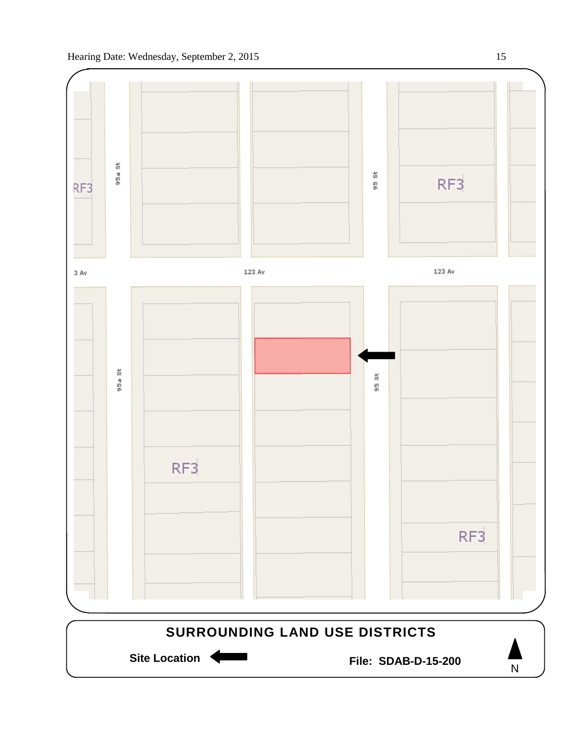